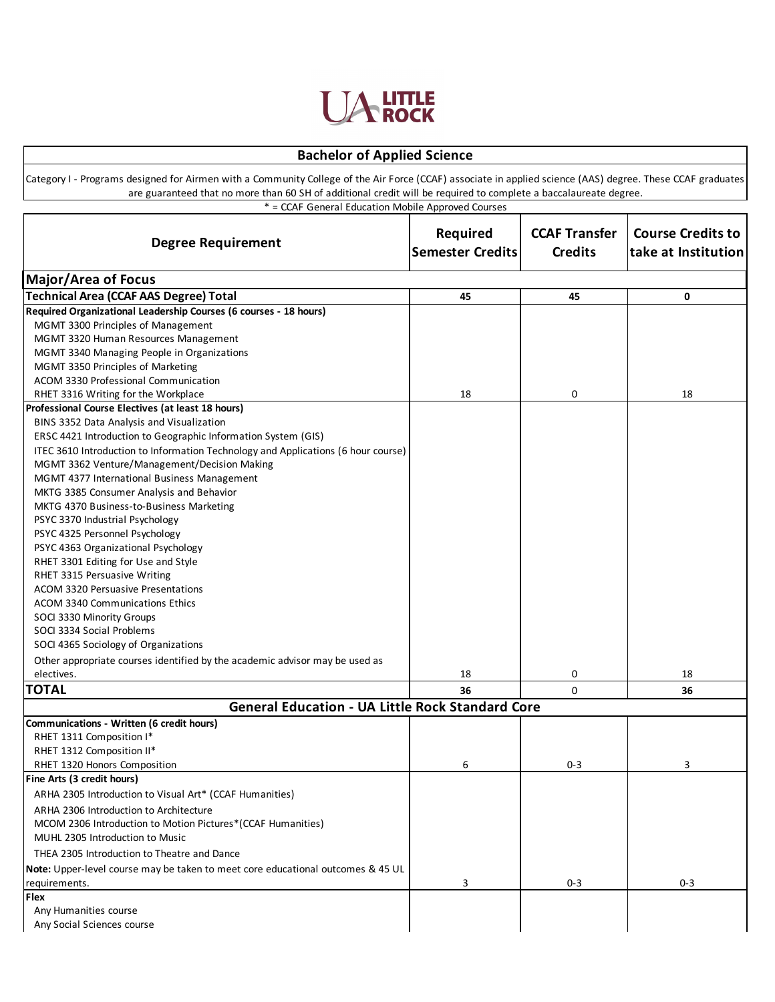

## **Bachelor of Applied Science**

Category I - Programs designed for Airmen with a Community College of the Air Force (CCAF) associate in applied science (AAS) degree. These CCAF graduates are guaranteed that no more than 60 SH of additional credit will be required to complete a baccalaureate degree.

\* = CCAF General Education Mobile Approved Courses

| <b>Degree Requirement</b>                                                            | Required<br><b>Semester Credits</b> | <b>CCAF Transfer</b><br><b>Credits</b> | <b>Course Credits to</b><br>take at Institution |
|--------------------------------------------------------------------------------------|-------------------------------------|----------------------------------------|-------------------------------------------------|
| <b>Major/Area of Focus</b>                                                           |                                     |                                        |                                                 |
| Technical Area (CCAF AAS Degree) Total                                               | 45                                  | 45                                     | 0                                               |
| Required Organizational Leadership Courses (6 courses - 18 hours)                    |                                     |                                        |                                                 |
| MGMT 3300 Principles of Management                                                   |                                     |                                        |                                                 |
| MGMT 3320 Human Resources Management                                                 |                                     |                                        |                                                 |
| MGMT 3340 Managing People in Organizations                                           |                                     |                                        |                                                 |
| MGMT 3350 Principles of Marketing                                                    |                                     |                                        |                                                 |
| ACOM 3330 Professional Communication                                                 |                                     |                                        |                                                 |
| RHET 3316 Writing for the Workplace                                                  | 18                                  | 0                                      | 18                                              |
| Professional Course Electives (at least 18 hours)                                    |                                     |                                        |                                                 |
| BINS 3352 Data Analysis and Visualization                                            |                                     |                                        |                                                 |
| ERSC 4421 Introduction to Geographic Information System (GIS)                        |                                     |                                        |                                                 |
| ITEC 3610 Introduction to Information Technology and Applications (6 hour course)    |                                     |                                        |                                                 |
| MGMT 3362 Venture/Management/Decision Making                                         |                                     |                                        |                                                 |
| MGMT 4377 International Business Management                                          |                                     |                                        |                                                 |
| MKTG 3385 Consumer Analysis and Behavior<br>MKTG 4370 Business-to-Business Marketing |                                     |                                        |                                                 |
| PSYC 3370 Industrial Psychology                                                      |                                     |                                        |                                                 |
| PSYC 4325 Personnel Psychology                                                       |                                     |                                        |                                                 |
| PSYC 4363 Organizational Psychology                                                  |                                     |                                        |                                                 |
| RHET 3301 Editing for Use and Style                                                  |                                     |                                        |                                                 |
| RHET 3315 Persuasive Writing                                                         |                                     |                                        |                                                 |
| <b>ACOM 3320 Persuasive Presentations</b>                                            |                                     |                                        |                                                 |
| ACOM 3340 Communications Ethics                                                      |                                     |                                        |                                                 |
| SOCI 3330 Minority Groups                                                            |                                     |                                        |                                                 |
| SOCI 3334 Social Problems                                                            |                                     |                                        |                                                 |
| SOCI 4365 Sociology of Organizations                                                 |                                     |                                        |                                                 |
| Other appropriate courses identified by the academic advisor may be used as          |                                     |                                        |                                                 |
| electives.                                                                           | 18                                  | 0                                      | 18                                              |
| <b>TOTAL</b>                                                                         | 36                                  | $\Omega$                               | 36                                              |
| <b>General Education - UA Little Rock Standard Core</b>                              |                                     |                                        |                                                 |
| Communications - Written (6 credit hours)                                            |                                     |                                        |                                                 |
| RHET 1311 Composition I*                                                             |                                     |                                        |                                                 |
| RHET 1312 Composition II*                                                            |                                     |                                        |                                                 |
| RHET 1320 Honors Composition                                                         | 6                                   | $0 - 3$                                | 3                                               |
| Fine Arts (3 credit hours)                                                           |                                     |                                        |                                                 |
| ARHA 2305 Introduction to Visual Art* (CCAF Humanities)                              |                                     |                                        |                                                 |
| ARHA 2306 Introduction to Architecture                                               |                                     |                                        |                                                 |
| MCOM 2306 Introduction to Motion Pictures*(CCAF Humanities)                          |                                     |                                        |                                                 |
| MUHL 2305 Introduction to Music                                                      |                                     |                                        |                                                 |
| THEA 2305 Introduction to Theatre and Dance                                          |                                     |                                        |                                                 |
| Note: Upper-level course may be taken to meet core educational outcomes & 45 UL      |                                     |                                        |                                                 |
| requirements.                                                                        | 3                                   | $0 - 3$                                | $0 - 3$                                         |
| Flex                                                                                 |                                     |                                        |                                                 |
| Any Humanities course                                                                |                                     |                                        |                                                 |
| Any Social Sciences course                                                           |                                     |                                        |                                                 |